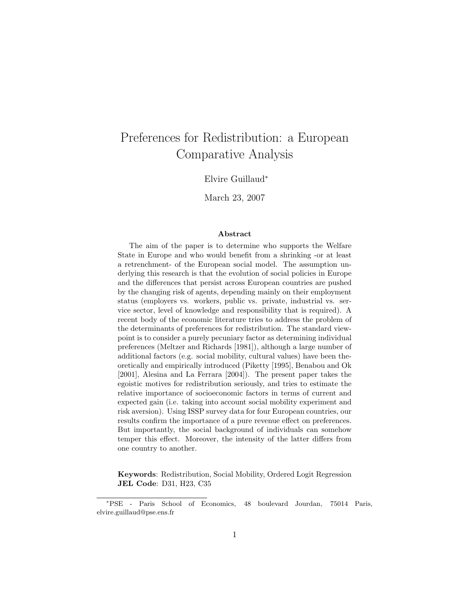# Preferences for Redistribution: a European Comparative Analysis

Elvire Guillaud<sup>∗</sup>

March 23, 2007

#### Abstract

The aim of the paper is to determine who supports the Welfare State in Europe and who would benefit from a shrinking -or at least a retrenchment- of the European social model. The assumption underlying this research is that the evolution of social policies in Europe and the differences that persist across European countries are pushed by the changing risk of agents, depending mainly on their employment status (employers vs. workers, public vs. private, industrial vs. service sector, level of knowledge and responsibility that is required). A recent body of the economic literature tries to address the problem of the determinants of preferences for redistribution. The standard viewpoint is to consider a purely pecuniary factor as determining individual preferences (Meltzer and Richards [1981]), although a large number of additional factors (e.g. social mobility, cultural values) have been theoretically and empirically introduced (Piketty [1995], Benabou and Ok [2001], Alesina and La Ferrara [2004]). The present paper takes the egoistic motives for redistribution seriously, and tries to estimate the relative importance of socioeconomic factors in terms of current and expected gain (i.e. taking into account social mobility experiment and risk aversion). Using ISSP survey data for four European countries, our results confirm the importance of a pure revenue effect on preferences. But importantly, the social background of individuals can somehow temper this effect. Moreover, the intensity of the latter differs from one country to another.

Keywords: Redistribution, Social Mobility, Ordered Logit Regression JEL Code: D31, H23, C35

<sup>∗</sup>PSE - Paris School of Economics, 48 boulevard Jourdan, 75014 Paris, elvire.guillaud@pse.ens.fr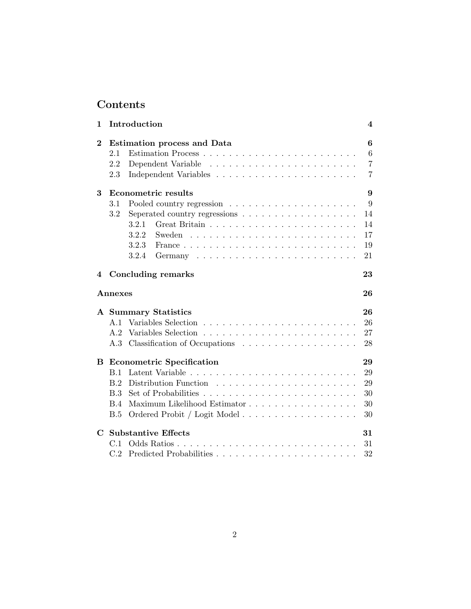# Contents

| 1                |            | Introduction                       | 4              |
|------------------|------------|------------------------------------|----------------|
| $\boldsymbol{2}$ |            | <b>Estimation process and Data</b> | 6              |
|                  | 2.1        |                                    | 6              |
|                  | 2.2        |                                    | 7              |
|                  | 2.3        |                                    | $\overline{7}$ |
| 3                |            | <b>Econometric results</b>         | 9              |
|                  | 3.1        |                                    | 9              |
|                  | 3.2        |                                    | 14             |
|                  |            | 3.2.1                              | 14             |
|                  |            | 3.2.2<br>Sweden                    | 17             |
|                  |            | 3.2.3                              | 19             |
|                  |            | 3.2.4                              | 21             |
| 4                |            | <b>Concluding remarks</b>          | 23             |
|                  | Annexes    |                                    | 26             |
|                  |            | A Summary Statistics               | 26             |
|                  | A.1        | Variables Selection                | 26             |
|                  | A.2        |                                    | 27             |
|                  |            |                                    | 28             |
| B                |            | <b>Econometric Specification</b>   | 29             |
|                  | B.1        |                                    | 29             |
|                  | B.2        |                                    | 29             |
|                  | B.3        |                                    | 30             |
|                  | <b>B.4</b> | Maximum Likelihood Estimator       | 30             |
|                  | B.5        | Ordered Probit / Logit Model       | 30             |
| $\mathbf C$      |            | <b>Substantive Effects</b>         | 31             |
|                  | C.1        |                                    | 31             |
|                  | C.2        |                                    | 32             |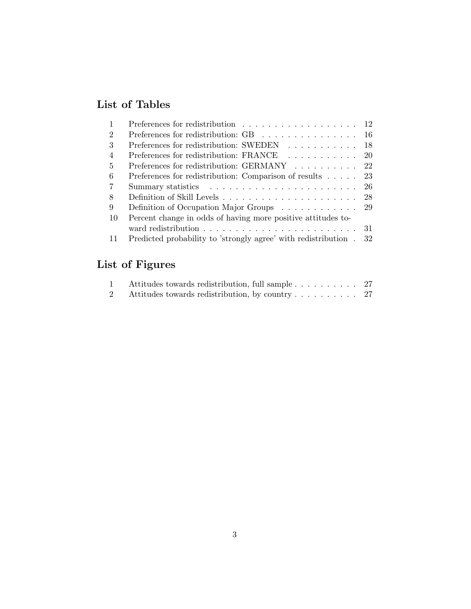# List of Tables

|                | Preferences for redistribution $\ldots \ldots \ldots \ldots \ldots \ldots 12$ |     |
|----------------|-------------------------------------------------------------------------------|-----|
| $\overline{2}$ | Preferences for redistribution: GB $\ldots \ldots \ldots \ldots \ldots$ 16    |     |
| 3              | Preferences for redistribution: SWEDEN 18                                     |     |
| $\overline{4}$ | Preferences for redistribution: FRANCE 20                                     |     |
| $\frac{5}{2}$  | Preferences for redistribution: GERMANY 22                                    |     |
| 6              | Preferences for redistribution: Comparison of results $\ldots$ 23             |     |
| 7              |                                                                               | -26 |
| 8              |                                                                               | 28  |
| 9              | Definition of Occupation Major Groups 29                                      |     |
| 10             | Percent change in odds of having more positive attitudes to-                  |     |
|                |                                                                               | 31  |
| 11             | Predicted probability to 'strongly agree' with redistribution . 32            |     |

# List of Figures

| Attitudes towards redistribution, full sample 27  |  |
|---------------------------------------------------|--|
| 2 Attitudes towards redistribution, by country 27 |  |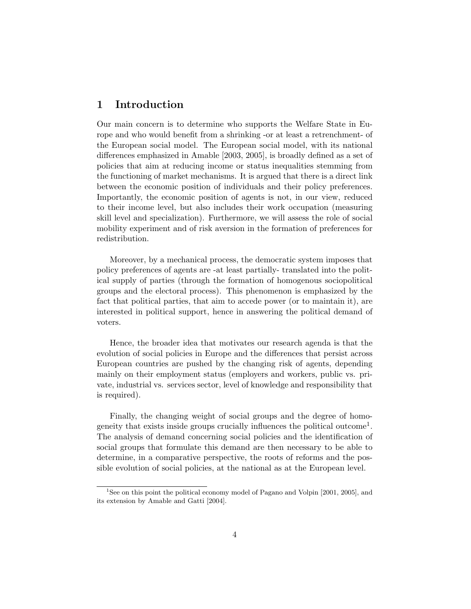# 1 Introduction

Our main concern is to determine who supports the Welfare State in Europe and who would benefit from a shrinking -or at least a retrenchment- of the European social model. The European social model, with its national differences emphasized in Amable [2003, 2005], is broadly defined as a set of policies that aim at reducing income or status inequalities stemming from the functioning of market mechanisms. It is argued that there is a direct link between the economic position of individuals and their policy preferences. Importantly, the economic position of agents is not, in our view, reduced to their income level, but also includes their work occupation (measuring skill level and specialization). Furthermore, we will assess the role of social mobility experiment and of risk aversion in the formation of preferences for redistribution.

Moreover, by a mechanical process, the democratic system imposes that policy preferences of agents are -at least partially- translated into the political supply of parties (through the formation of homogenous sociopolitical groups and the electoral process). This phenomenon is emphasized by the fact that political parties, that aim to accede power (or to maintain it), are interested in political support, hence in answering the political demand of voters.

Hence, the broader idea that motivates our research agenda is that the evolution of social policies in Europe and the differences that persist across European countries are pushed by the changing risk of agents, depending mainly on their employment status (employers and workers, public vs. private, industrial vs. services sector, level of knowledge and responsibility that is required).

Finally, the changing weight of social groups and the degree of homogeneity that exists inside groups crucially influences the political outcome<sup>1</sup>. The analysis of demand concerning social policies and the identification of social groups that formulate this demand are then necessary to be able to determine, in a comparative perspective, the roots of reforms and the possible evolution of social policies, at the national as at the European level.

<sup>1</sup>See on this point the political economy model of Pagano and Volpin [2001, 2005], and its extension by Amable and Gatti [2004].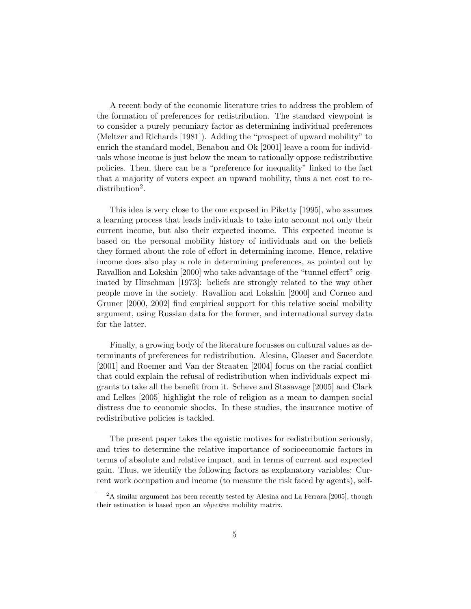A recent body of the economic literature tries to address the problem of the formation of preferences for redistribution. The standard viewpoint is to consider a purely pecuniary factor as determining individual preferences (Meltzer and Richards [1981]). Adding the "prospect of upward mobility" to enrich the standard model, Benabou and Ok [2001] leave a room for individuals whose income is just below the mean to rationally oppose redistributive policies. Then, there can be a "preference for inequality" linked to the fact that a majority of voters expect an upward mobility, thus a net cost to redistribution<sup>2</sup>.

This idea is very close to the one exposed in Piketty [1995], who assumes a learning process that leads individuals to take into account not only their current income, but also their expected income. This expected income is based on the personal mobility history of individuals and on the beliefs they formed about the role of effort in determining income. Hence, relative income does also play a role in determining preferences, as pointed out by Ravallion and Lokshin [2000] who take advantage of the "tunnel effect" originated by Hirschman [1973]: beliefs are strongly related to the way other people move in the society. Ravallion and Lokshin [2000] and Corneo and Gruner [2000, 2002] find empirical support for this relative social mobility argument, using Russian data for the former, and international survey data for the latter.

Finally, a growing body of the literature focusses on cultural values as determinants of preferences for redistribution. Alesina, Glaeser and Sacerdote [2001] and Roemer and Van der Straaten [2004] focus on the racial conflict that could explain the refusal of redistribution when individuals expect migrants to take all the benefit from it. Scheve and Stasavage [2005] and Clark and Lelkes [2005] highlight the role of religion as a mean to dampen social distress due to economic shocks. In these studies, the insurance motive of redistributive policies is tackled.

The present paper takes the egoistic motives for redistribution seriously, and tries to determine the relative importance of socioeconomic factors in terms of absolute and relative impact, and in terms of current and expected gain. Thus, we identify the following factors as explanatory variables: Current work occupation and income (to measure the risk faced by agents), self-

<sup>&</sup>lt;sup>2</sup>A similar argument has been recently tested by Alesina and La Ferrara [2005], though their estimation is based upon an objective mobility matrix.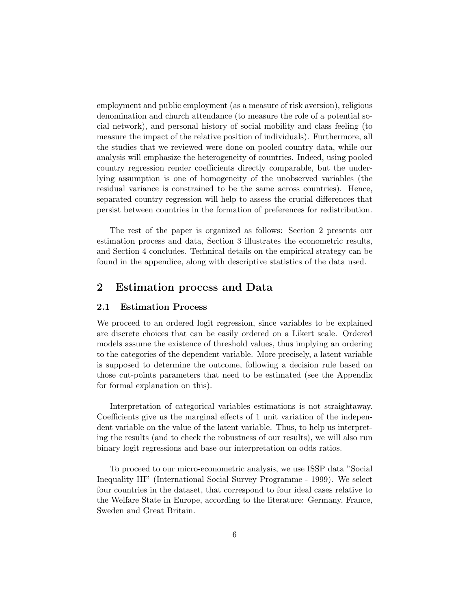employment and public employment (as a measure of risk aversion), religious denomination and church attendance (to measure the role of a potential social network), and personal history of social mobility and class feeling (to measure the impact of the relative position of individuals). Furthermore, all the studies that we reviewed were done on pooled country data, while our analysis will emphasize the heterogeneity of countries. Indeed, using pooled country regression render coefficients directly comparable, but the underlying assumption is one of homogeneity of the unobserved variables (the residual variance is constrained to be the same across countries). Hence, separated country regression will help to assess the crucial differences that persist between countries in the formation of preferences for redistribution.

The rest of the paper is organized as follows: Section 2 presents our estimation process and data, Section 3 illustrates the econometric results, and Section 4 concludes. Technical details on the empirical strategy can be found in the appendice, along with descriptive statistics of the data used.

## 2 Estimation process and Data

#### 2.1 Estimation Process

We proceed to an ordered logit regression, since variables to be explained are discrete choices that can be easily ordered on a Likert scale. Ordered models assume the existence of threshold values, thus implying an ordering to the categories of the dependent variable. More precisely, a latent variable is supposed to determine the outcome, following a decision rule based on those cut-points parameters that need to be estimated (see the Appendix for formal explanation on this).

Interpretation of categorical variables estimations is not straightaway. Coefficients give us the marginal effects of 1 unit variation of the independent variable on the value of the latent variable. Thus, to help us interpreting the results (and to check the robustness of our results), we will also run binary logit regressions and base our interpretation on odds ratios.

To proceed to our micro-econometric analysis, we use ISSP data "Social Inequality III" (International Social Survey Programme - 1999). We select four countries in the dataset, that correspond to four ideal cases relative to the Welfare State in Europe, according to the literature: Germany, France, Sweden and Great Britain.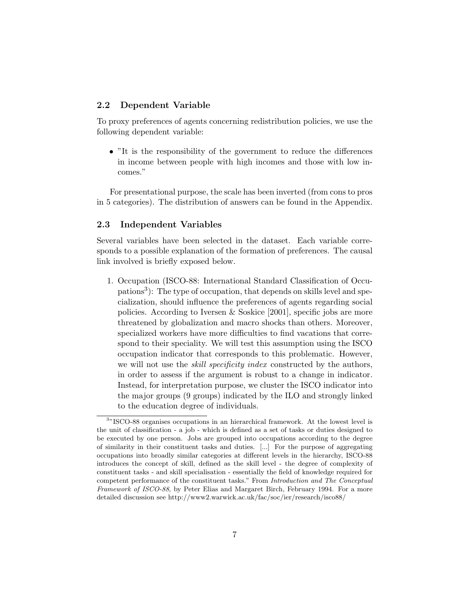### 2.2 Dependent Variable

To proxy preferences of agents concerning redistribution policies, we use the following dependent variable:

• "It is the responsibility of the government to reduce the differences in income between people with high incomes and those with low incomes."

For presentational purpose, the scale has been inverted (from cons to pros in 5 categories). The distribution of answers can be found in the Appendix.

## 2.3 Independent Variables

Several variables have been selected in the dataset. Each variable corresponds to a possible explanation of the formation of preferences. The causal link involved is briefly exposed below.

1. Occupation (ISCO-88: International Standard Classification of Occupations<sup>3</sup>): The type of occupation, that depends on skills level and specialization, should influence the preferences of agents regarding social policies. According to Iversen & Soskice [2001], specific jobs are more threatened by globalization and macro shocks than others. Moreover, specialized workers have more difficulties to find vacations that correspond to their speciality. We will test this assumption using the ISCO occupation indicator that corresponds to this problematic. However, we will not use the *skill specificity index* constructed by the authors, in order to assess if the argument is robust to a change in indicator. Instead, for interpretation purpose, we cluster the ISCO indicator into the major groups (9 groups) indicated by the ILO and strongly linked to the education degree of individuals.

<sup>&</sup>lt;sup>3</sup>"ISCO-88 organises occupations in an hierarchical framework. At the lowest level is the unit of classification - a job - which is defined as a set of tasks or duties designed to be executed by one person. Jobs are grouped into occupations according to the degree of similarity in their constituent tasks and duties. [...] For the purpose of aggregating occupations into broadly similar categories at different levels in the hierarchy, ISCO-88 introduces the concept of skill, defined as the skill level - the degree of complexity of constituent tasks - and skill specialisation - essentially the field of knowledge required for competent performance of the constituent tasks." From Introduction and The Conceptual Framework of ISCO-88, by Peter Elias and Margaret Birch, February 1994. For a more detailed discussion see http://www2.warwick.ac.uk/fac/soc/ier/research/isco88/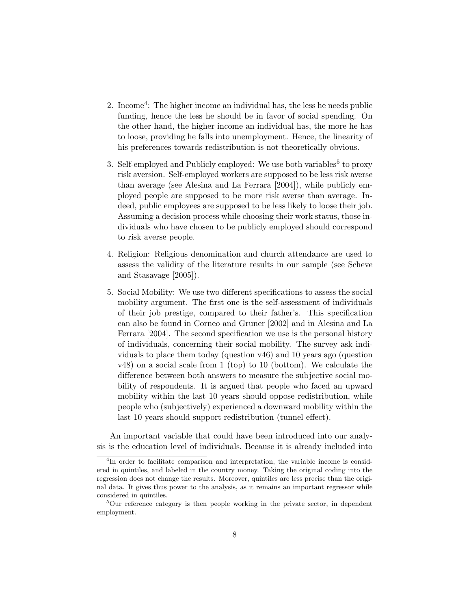- 2. Income<sup>4</sup>: The higher income an individual has, the less he needs public funding, hence the less he should be in favor of social spending. On the other hand, the higher income an individual has, the more he has to loose, providing he falls into unemployment. Hence, the linearity of his preferences towards redistribution is not theoretically obvious.
- 3. Self-employed and Publicly employed: We use both variables<sup>5</sup> to proxy risk aversion. Self-employed workers are supposed to be less risk averse than average (see Alesina and La Ferrara [2004]), while publicly employed people are supposed to be more risk averse than average. Indeed, public employees are supposed to be less likely to loose their job. Assuming a decision process while choosing their work status, those individuals who have chosen to be publicly employed should correspond to risk averse people.
- 4. Religion: Religious denomination and church attendance are used to assess the validity of the literature results in our sample (see Scheve and Stasavage [2005]).
- 5. Social Mobility: We use two different specifications to assess the social mobility argument. The first one is the self-assessment of individuals of their job prestige, compared to their father's. This specification can also be found in Corneo and Gruner [2002] and in Alesina and La Ferrara [2004]. The second specification we use is the personal history of individuals, concerning their social mobility. The survey ask individuals to place them today (question v46) and 10 years ago (question v48) on a social scale from 1 (top) to 10 (bottom). We calculate the difference between both answers to measure the subjective social mobility of respondents. It is argued that people who faced an upward mobility within the last 10 years should oppose redistribution, while people who (subjectively) experienced a downward mobility within the last 10 years should support redistribution (tunnel effect).

An important variable that could have been introduced into our analysis is the education level of individuals. Because it is already included into

<sup>&</sup>lt;sup>4</sup>In order to facilitate comparison and interpretation, the variable income is considered in quintiles, and labeled in the country money. Taking the original coding into the regression does not change the results. Moreover, quintiles are less precise than the original data. It gives thus power to the analysis, as it remains an important regressor while considered in quintiles.

<sup>&</sup>lt;sup>5</sup>Our reference category is then people working in the private sector, in dependent employment.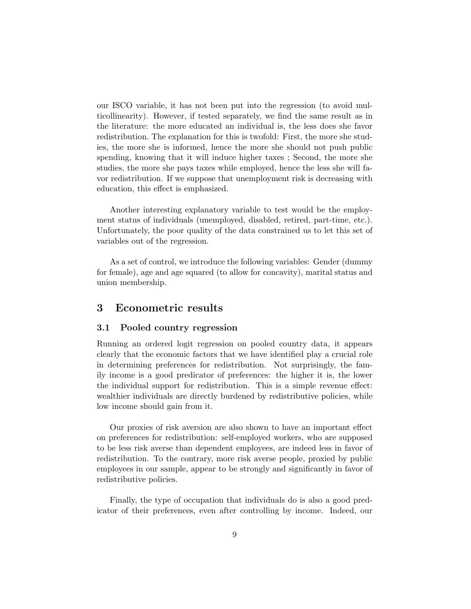our ISCO variable, it has not been put into the regression (to avoid multicollinearity). However, if tested separately, we find the same result as in the literature: the more educated an individual is, the less does she favor redistribution. The explanation for this is twofold: First, the more she studies, the more she is informed, hence the more she should not push public spending, knowing that it will induce higher taxes ; Second, the more she studies, the more she pays taxes while employed, hence the less she will favor redistribution. If we suppose that unemployment risk is decreasing with education, this effect is emphasized.

Another interesting explanatory variable to test would be the employment status of individuals (unemployed, disabled, retired, part-time, etc.). Unfortunately, the poor quality of the data constrained us to let this set of variables out of the regression.

As a set of control, we introduce the following variables: Gender (dummy for female), age and age squared (to allow for concavity), marital status and union membership.

## 3 Econometric results

#### 3.1 Pooled country regression

Running an ordered logit regression on pooled country data, it appears clearly that the economic factors that we have identified play a crucial role in determining preferences for redistribution. Not surprisingly, the family income is a good predicator of preferences: the higher it is, the lower the individual support for redistribution. This is a simple revenue effect: wealthier individuals are directly burdened by redistributive policies, while low income should gain from it.

Our proxies of risk aversion are also shown to have an important effect on preferences for redistribution: self-employed workers, who are supposed to be less risk averse than dependent employees, are indeed less in favor of redistribution. To the contrary, more risk averse people, proxied by public employees in our sample, appear to be strongly and significantly in favor of redistributive policies.

Finally, the type of occupation that individuals do is also a good predicator of their preferences, even after controlling by income. Indeed, our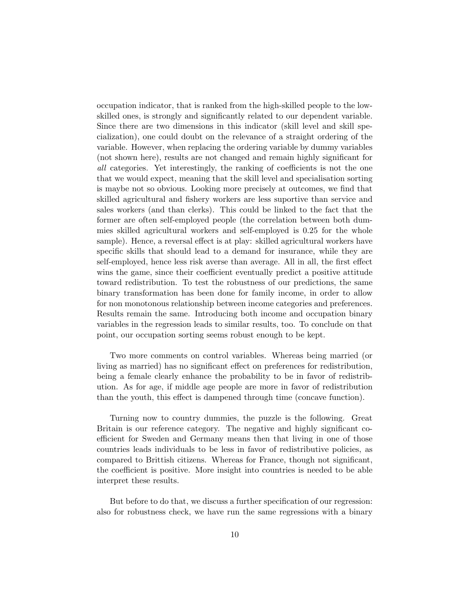occupation indicator, that is ranked from the high-skilled people to the lowskilled ones, is strongly and significantly related to our dependent variable. Since there are two dimensions in this indicator (skill level and skill specialization), one could doubt on the relevance of a straight ordering of the variable. However, when replacing the ordering variable by dummy variables (not shown here), results are not changed and remain highly significant for all categories. Yet interestingly, the ranking of coefficients is not the one that we would expect, meaning that the skill level and specialisation sorting is maybe not so obvious. Looking more precisely at outcomes, we find that skilled agricultural and fishery workers are less suportive than service and sales workers (and than clerks). This could be linked to the fact that the former are often self-employed people (the correlation between both dummies skilled agricultural workers and self-employed is 0.25 for the whole sample). Hence, a reversal effect is at play: skilled agricultural workers have specific skills that should lead to a demand for insurance, while they are self-employed, hence less risk averse than average. All in all, the first effect wins the game, since their coefficient eventually predict a positive attitude toward redistribution. To test the robustness of our predictions, the same binary transformation has been done for family income, in order to allow for non monotonous relationship between income categories and preferences. Results remain the same. Introducing both income and occupation binary variables in the regression leads to similar results, too. To conclude on that point, our occupation sorting seems robust enough to be kept.

Two more comments on control variables. Whereas being married (or living as married) has no significant effect on preferences for redistribution, being a female clearly enhance the probability to be in favor of redistribution. As for age, if middle age people are more in favor of redistribution than the youth, this effect is dampened through time (concave function).

Turning now to country dummies, the puzzle is the following. Great Britain is our reference category. The negative and highly significant coefficient for Sweden and Germany means then that living in one of those countries leads individuals to be less in favor of redistributive policies, as compared to Brittish citizens. Whereas for France, though not significant, the coefficient is positive. More insight into countries is needed to be able interpret these results.

But before to do that, we discuss a further specification of our regression: also for robustness check, we have run the same regressions with a binary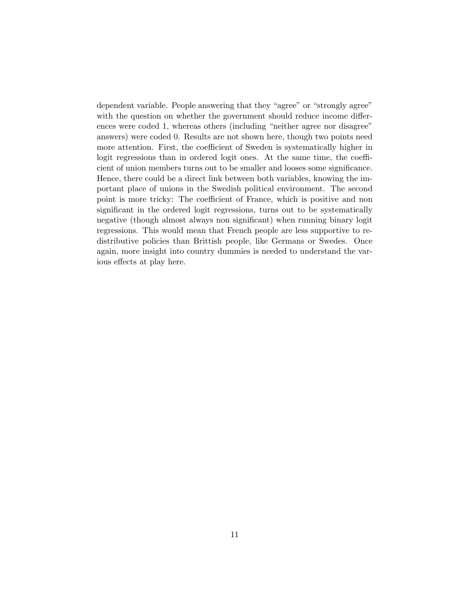dependent variable. People answering that they "agree" or "strongly agree" with the question on whether the government should reduce income differences were coded 1, whereas others (including "neither agree nor disagree" answers) were coded 0. Results are not shown here, though two points need more attention. First, the coefficient of Sweden is systematically higher in logit regressions than in ordered logit ones. At the same time, the coefficient of union members turns out to be smaller and looses some significance. Hence, there could be a direct link between both variables, knowing the important place of unions in the Swedish political environment. The second point is more tricky: The coefficient of France, which is positive and non significant in the ordered logit regressions, turns out to be systematically negative (though almost always non significant) when running binary logit regressions. This would mean that French people are less supportive to redistributive policies than Brittish people, like Germans or Swedes. Once again, more insight into country dummies is needed to understand the various effects at play here.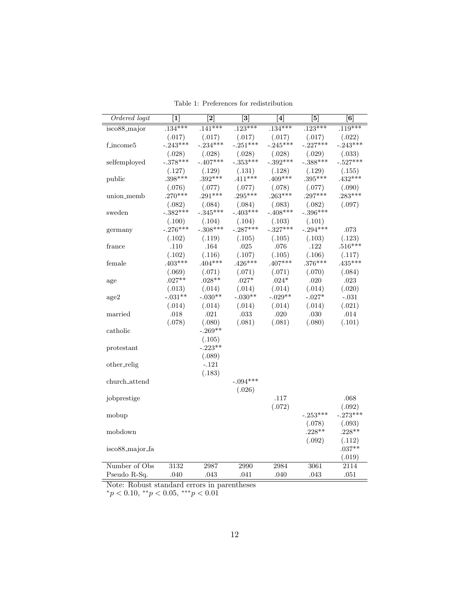| Ordered logit                | $\boxed{1}$ | $\overline{2}$ | $\overline{[3]}$ | $\overline{[4]}$ | [5]                | $\left[ 6\right]$  |
|------------------------------|-------------|----------------|------------------|------------------|--------------------|--------------------|
| $is \cos 8$ <sub>major</sub> | $.134***$   | $.141***$      | $.123***$        | $.134***$        | $.123***$          | $.119***$          |
|                              | (.017)      | (.017)         | (.017)           | (.017)           | (.017)             | (.022)             |
| f_income5                    | $-.243***$  | $-.234***$     | $-.251***$       | $-.245***$       | $-.227***$         | $-.243***$         |
|                              | (.028)      | (.028)         | (.028)           | (.028)           | (.029)             | (.033)             |
| selfemployed                 | $-.378***$  | $-.407***$     | $-.353***$       | $-.392***$       | $-.388***$         | $-.527***$         |
|                              | (.127)      | (.129)         | (.131)           | (.128)           | (.129)             | (.155)             |
| public                       | $.398***$   | $.392***$      | $.411***$        | $.409***$        | $.395***$          | $.432***$          |
|                              | (.076)      | (.077)         | (.077)           | (.078)           | (.077)             | (.090)             |
| union_memb                   | $.270***$   | $.291***$      | $.295***$        | $.263***$        | $.297***$          | $.283***$          |
|                              | (.082)      | (.084)         | (.084)           | (.083)           | (.082)             | (.097)             |
| sweden                       | $-.382***$  | $-.345***$     | $-.403***$       | $-.408***$       | $-.396***$         |                    |
|                              | (.100)      | (.104)         | (.104)           | (.103)           | (.101)             |                    |
| germany                      | $-.276***$  | $-.308***$     | $-.287***$       | $-.327***$       | $-.294***$         | .073               |
|                              | (.102)      | (.119)         | (.105)           | (.105)           | (.103)             | (.123)             |
| france                       | .110        | .164           | .025             | .076             | .122               | $.516***$          |
|                              | (.102)      | (.116)         | (.107)           | (.105)           | (.106)             | (.117)             |
| female                       | $.403***$   | $.404***$      | $.426***$        | $.407***$        | $.376***$          | $.435***$          |
|                              | (.069)      | (.071)         | (.071)           | (.071)           | (.070)             | (.084)             |
| age                          | $.027**$    | $.028**$       | $.027*$          | $.024*$          | $.020\,$           | .023               |
|                              | (.013)      | (.014)         | (.014)           | (.014)           | (.014)             | (.020)             |
| $\rm age2$                   | $-.031**$   | $-.030**$      | $-.030**$        | $-.029**$        | $-.027*$           | $-.031$            |
|                              | (.014)      | (.014)         | (.014)           | (.014)           | (.014)             | (.021)             |
| married                      | .018        | .021           | $.033\,$         | $.020\,$         | .030               | .014               |
|                              | (.078)      | (.080)         | (.081)           | (.081)           | (.080)             | (.101)             |
| catholic                     |             | $-.269**$      |                  |                  |                    |                    |
|                              |             | (.105)         |                  |                  |                    |                    |
| protestant                   |             | $-.223**$      |                  |                  |                    |                    |
|                              |             | (.089)         |                  |                  |                    |                    |
| other_relig                  |             | $-.121$        |                  |                  |                    |                    |
|                              |             | (.183)         |                  |                  |                    |                    |
| church_attend                |             |                | $-.094***$       |                  |                    |                    |
|                              |             |                | (.026)           |                  |                    |                    |
| jobprestige                  |             |                |                  | .117             |                    | .068               |
|                              |             |                |                  | (.072)           |                    | (.092)             |
| mobup                        |             |                |                  |                  | $-.253***$         | $-.273***$         |
|                              |             |                |                  |                  | (.078)<br>$.228**$ | (.093)<br>$.228**$ |
| mobdown                      |             |                |                  |                  |                    |                    |
| isco88_major_fa              |             |                |                  |                  | (.092)             | (.112)<br>$.037**$ |
|                              |             |                |                  |                  |                    | (.019)             |
| Number of Obs                | 3132        | 2987           | 2990             | 2984             | 3061               | $\overline{2114}$  |
| Pseudo R-Sq.                 | .040        | .043           | .041             | .040             | .043               | .051               |
|                              |             |                |                  |                  |                    |                    |

Table 1: Preferences for redistribution

Note: Robust standard errors in parentheses

 $*_p$  < 0.10,  $*_p$  < 0.05,  $**_p$  < 0.01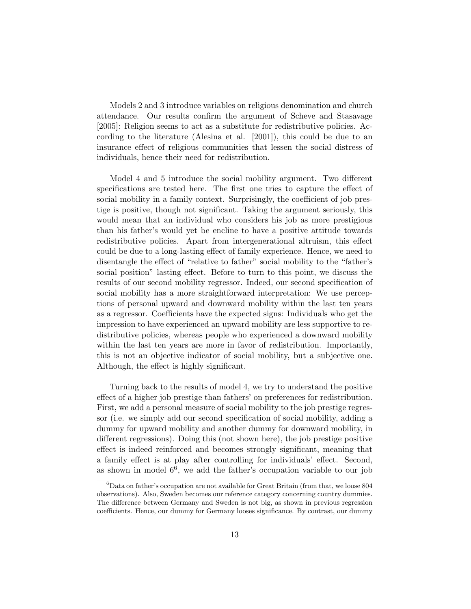Models 2 and 3 introduce variables on religious denomination and church attendance. Our results confirm the argument of Scheve and Stasavage [2005]: Religion seems to act as a substitute for redistributive policies. According to the literature (Alesina et al. [2001]), this could be due to an insurance effect of religious communities that lessen the social distress of individuals, hence their need for redistribution.

Model 4 and 5 introduce the social mobility argument. Two different specifications are tested here. The first one tries to capture the effect of social mobility in a family context. Surprisingly, the coefficient of job prestige is positive, though not significant. Taking the argument seriously, this would mean that an individual who considers his job as more prestigious than his father's would yet be encline to have a positive attitude towards redistributive policies. Apart from intergenerational altruism, this effect could be due to a long-lasting effect of family experience. Hence, we need to disentangle the effect of "relative to father" social mobility to the "father's social position" lasting effect. Before to turn to this point, we discuss the results of our second mobility regressor. Indeed, our second specification of social mobility has a more straightforward interpretation: We use perceptions of personal upward and downward mobility within the last ten years as a regressor. Coefficients have the expected signs: Individuals who get the impression to have experienced an upward mobility are less supportive to redistributive policies, whereas people who experienced a downward mobility within the last ten years are more in favor of redistribution. Importantly, this is not an objective indicator of social mobility, but a subjective one. Although, the effect is highly significant.

Turning back to the results of model 4, we try to understand the positive effect of a higher job prestige than fathers' on preferences for redistribution. First, we add a personal measure of social mobility to the job prestige regressor (i.e. we simply add our second specification of social mobility, adding a dummy for upward mobility and another dummy for downward mobility, in different regressions). Doing this (not shown here), the job prestige positive effect is indeed reinforced and becomes strongly significant, meaning that a family effect is at play after controlling for individuals' effect. Second, as shown in model  $6^6$ , we add the father's occupation variable to our job

 ${}^{6}$ Data on father's occupation are not available for Great Britain (from that, we loose 804 observations). Also, Sweden becomes our reference category concerning country dummies. The difference between Germany and Sweden is not big, as shown in previous regression coefficients. Hence, our dummy for Germany looses significance. By contrast, our dummy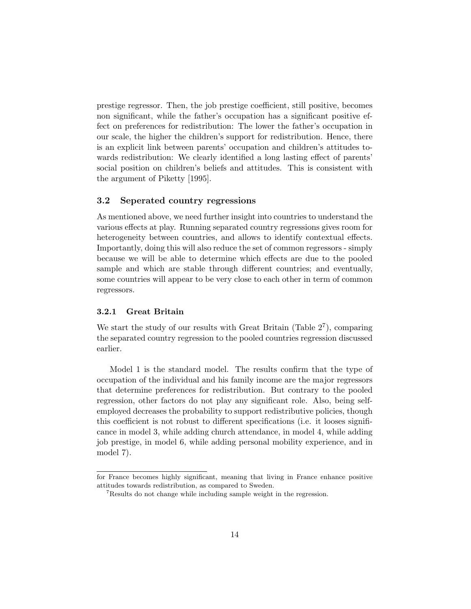prestige regressor. Then, the job prestige coefficient, still positive, becomes non significant, while the father's occupation has a significant positive effect on preferences for redistribution: The lower the father's occupation in our scale, the higher the children's support for redistribution. Hence, there is an explicit link between parents' occupation and children's attitudes towards redistribution: We clearly identified a long lasting effect of parents' social position on children's beliefs and attitudes. This is consistent with the argument of Piketty [1995].

### 3.2 Seperated country regressions

As mentioned above, we need further insight into countries to understand the various effects at play. Running separated country regressions gives room for heterogeneity between countries, and allows to identify contextual effects. Importantly, doing this will also reduce the set of common regressors - simply because we will be able to determine which effects are due to the pooled sample and which are stable through different countries; and eventually, some countries will appear to be very close to each other in term of common regressors.

#### 3.2.1 Great Britain

We start the study of our results with Great Britain (Table  $2^7$ ), comparing the separated country regression to the pooled countries regression discussed earlier.

Model 1 is the standard model. The results confirm that the type of occupation of the individual and his family income are the major regressors that determine preferences for redistribution. But contrary to the pooled regression, other factors do not play any significant role. Also, being selfemployed decreases the probability to support redistributive policies, though this coefficient is not robust to different specifications (i.e. it looses significance in model 3, while adding church attendance, in model 4, while adding job prestige, in model 6, while adding personal mobility experience, and in model 7).

for France becomes highly significant, meaning that living in France enhance positive attitudes towards redistribution, as compared to Sweden.

<sup>&</sup>lt;sup>7</sup>Results do not change while including sample weight in the regression.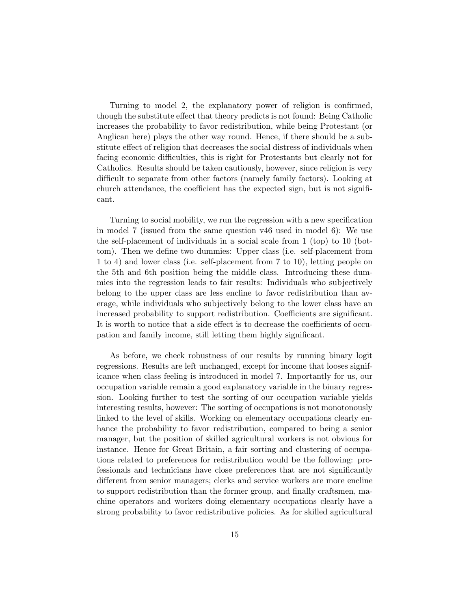Turning to model 2, the explanatory power of religion is confirmed, though the substitute effect that theory predicts is not found: Being Catholic increases the probability to favor redistribution, while being Protestant (or Anglican here) plays the other way round. Hence, if there should be a substitute effect of religion that decreases the social distress of individuals when facing economic difficulties, this is right for Protestants but clearly not for Catholics. Results should be taken cautiously, however, since religion is very difficult to separate from other factors (namely family factors). Looking at church attendance, the coefficient has the expected sign, but is not significant.

Turning to social mobility, we run the regression with a new specification in model 7 (issued from the same question v46 used in model 6): We use the self-placement of individuals in a social scale from 1 (top) to 10 (bottom). Then we define two dummies: Upper class (i.e. self-placement from 1 to 4) and lower class (i.e. self-placement from 7 to 10), letting people on the 5th and 6th position being the middle class. Introducing these dummies into the regression leads to fair results: Individuals who subjectively belong to the upper class are less encline to favor redistribution than average, while individuals who subjectively belong to the lower class have an increased probability to support redistribution. Coefficients are significant. It is worth to notice that a side effect is to decrease the coefficients of occupation and family income, still letting them highly significant.

As before, we check robustness of our results by running binary logit regressions. Results are left unchanged, except for income that looses significance when class feeling is introduced in model 7. Importantly for us, our occupation variable remain a good explanatory variable in the binary regression. Looking further to test the sorting of our occupation variable yields interesting results, however: The sorting of occupations is not monotonously linked to the level of skills. Working on elementary occupations clearly enhance the probability to favor redistribution, compared to being a senior manager, but the position of skilled agricultural workers is not obvious for instance. Hence for Great Britain, a fair sorting and clustering of occupations related to preferences for redistribution would be the following: professionals and technicians have close preferences that are not significantly different from senior managers; clerks and service workers are more encline to support redistribution than the former group, and finally craftsmen, machine operators and workers doing elementary occupations clearly have a strong probability to favor redistributive policies. As for skilled agricultural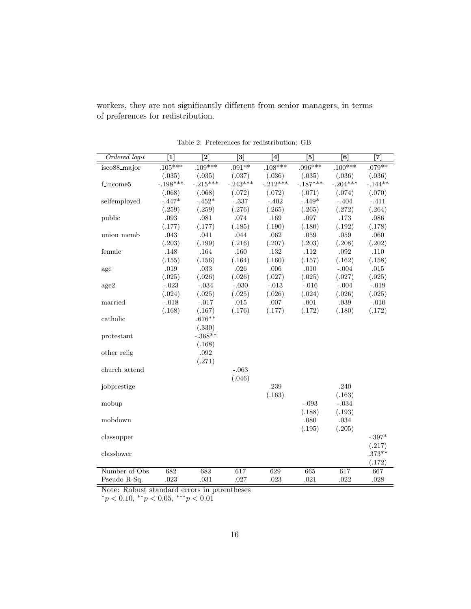workers, they are not significantly different from senior managers, in terms of preferences for redistribution.

| Ordered logit | $\overline{1}$ | $\overline{[2]}$ | $\overline{[3]}$ | $\overline{[4]}$ | $\overline{5}$ | $\overline{6}$ | $\overline{[7]}$ |
|---------------|----------------|------------------|------------------|------------------|----------------|----------------|------------------|
| isco88_major  | $.105***$      | $.109***$        | $.091**$         | $.108***$        | $.096***$      | $.100***$      | $.079**$         |
|               | (.035)         | (.035)           | (.037)           | (.036)           | (.035)         | (.036)         | (.036)           |
| f_income5     | $-.198***$     | $-.215***$       | $-.243***$       | $-.212***$       | $-.187***$     | $-.204***$     | $-.144**$        |
|               | (.068)         | (.068)           | (.072)           | (.072)           | (.071)         | (.074)         | (.070)           |
| selfemployed  | $-.447*$       | $-.452*$         | $-.337$          | $-.402$          | $-.449*$       | $-.404$        | $-.411$          |
|               | (.259)         | (.259)           | (.276)           | (.265)           | (.265)         | (.272)         | (.264)           |
| public        | .093           | .081             | .074             | .169             | .097           | .173           | .086             |
|               | (.177)         | (.177)           | (.185)           | (.190)           | (.180)         | (.192)         | (.178)           |
| union_memb    | .043           | .041             | .044             | .062             | .059           | .059           | .060             |
|               | (.203)         | (.199)           | (.216)           | (.207)           | (.203)         | (.208)         | (.202)           |
| female        | .148           | .164             | .160             | .132             | .112           | .092           | .110             |
|               | (.155)         | (.156)           | (.164)           | (.160)           | (.157)         | (.162)         | (.158)           |
| age           | .019           | $.033\,$         | .026             | .006             | $.010\,$       | $-.004$        | .015             |
|               | (.025)         | (.026)           | (.026)           | (.027)           | (.025)         | (.027)         | (.025)           |
| age2          | $-.023$        | $-.034$          | $-.030$          | $-.013$          | $-.016$        | $-.004$        | $-.019$          |
|               | (.024)         | (.025)           | (.025)           | (.026)           | (.024)         | (.026)         | (.025)           |
| married       | $-.018$        | $-.017$          | .015             | .007             | .001           | .039           | $-.010$          |
|               | (.168)         | (.167)           | (.176)           | (.177)           | (.172)         | (.180)         | (.172)           |
| catholic      |                | $.676**$         |                  |                  |                |                |                  |
|               |                | (.330)           |                  |                  |                |                |                  |
| protestant    |                | $-.368**$        |                  |                  |                |                |                  |
|               |                | (.168)           |                  |                  |                |                |                  |
| other_relig   |                | .092             |                  |                  |                |                |                  |
|               |                | (.271)           |                  |                  |                |                |                  |
| church_attend |                |                  | $-.063$          |                  |                |                |                  |
|               |                |                  | (.046)           |                  |                |                |                  |
| jobprestige   |                |                  |                  | .239             |                | .240           |                  |
|               |                |                  |                  | (.163)           |                | (.163)         |                  |
| mobup         |                |                  |                  |                  | $-.093$        | $-.034$        |                  |
|               |                |                  |                  |                  | (.188)         | (.193)         |                  |
| mobdown       |                |                  |                  |                  | .080           | $.034\,$       |                  |
|               |                |                  |                  |                  | (.195)         | (.205)         |                  |
| classupper    |                |                  |                  |                  |                |                | $-.397*$         |
|               |                |                  |                  |                  |                |                | (.217)           |
| classlower    |                |                  |                  |                  |                |                | $.373**$         |
|               |                |                  |                  |                  |                |                | (.172)           |
| Number of Obs | 682            | 682              | 617              | 629              | 665            | 617            | 667              |
| Pseudo R-Sq.  | $.023\,$       | .031             | .027             | $.023\,$         | .021           | .022           | .028             |

Table 2: Preferences for redistribution: GB

Note: Robust standard errors in parentheses

 $*_p$  < 0.10,  $*_p$  < 0.05,  $**_p$  < 0.01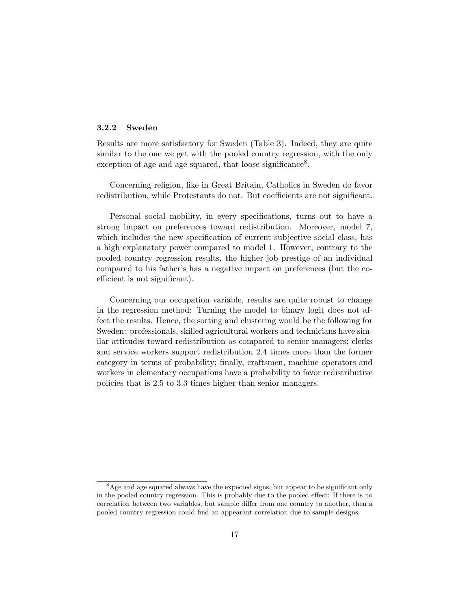#### 3.2.2 Sweden

Results are more satisfactory for Sweden (Table 3). Indeed, they are quite similar to the one we get with the pooled country regression, with the only exception of age and age squared, that loose significance<sup>8</sup>.

Concerning religion, like in Great Britain, Catholics in Sweden do favor redistribution, while Protestants do not. But coefficients are not significant.

Personal social mobility, in every specifications, turns out to have a strong impact on preferences toward redistribution. Moreover, model 7, which includes the new specification of current subjective social class, has a high explanatory power compared to model 1. However, contrary to the pooled country regression results, the higher job prestige of an individual compared to his father's has a negative impact on preferences (but the coefficient is not significant).

Concerning our occupation variable, results are quite robust to change in the regression method: Turning the model to binary logit does not affect the results. Hence, the sorting and clustering would be the following for Sweden: professionals, skilled agricultural workers and technicians have similar attitudes toward redistribution as compared to senior managers; clerks and service workers support redistribution 2.4 times more than the former category in terms of probability; finally, craftsmen, machine operators and workers in elementary occupations have a probability to favor redistributive policies that is 2.5 to 3.3 times higher than senior managers.

<sup>&</sup>lt;sup>8</sup>Age and age squared always have the expected signs, but appear to be significant only in the pooled country regression. This is probably due to the pooled effect: If there is no correlation between two variables, but sample differ from one country to another, then a pooled country regression could find an appearant correlation due to sample designs.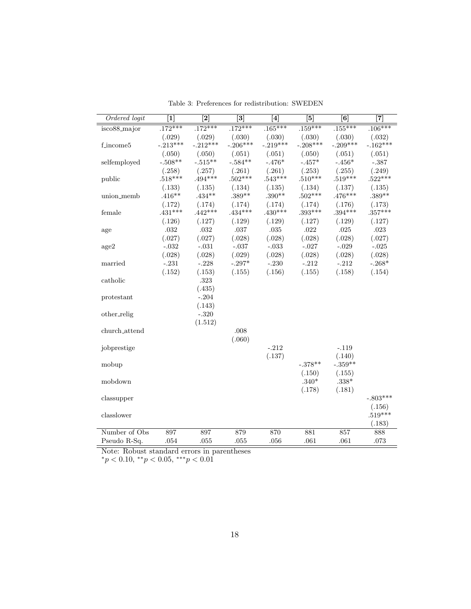| Ordered logit             | $\overline{1}$      | $\overline{[2]}$    | $\overline{3}$      | $\overline{[4]}$    | $\overline{5}$      | $\overline{6}$      | $\overline{[7]}$    |
|---------------------------|---------------------|---------------------|---------------------|---------------------|---------------------|---------------------|---------------------|
| $isco88$ <sub>major</sub> | $.172***$           | $.172***$           | $.172***$           | $.165***$           | $.159***$           | $.155***$           | $.106***$           |
|                           | (.029)              | (.029)              | (.030)              | (.030)              | (.030)              | (.030)              | (.032)              |
| f_income5                 | $-.213***$          | $-.212***$          | $-.206***$          | $-.219***$          | $-.208***$          | $-.209***$          | $-.162***$          |
|                           | (.050)              | (.050)              | (.051)              | (.051)              | (.050)              | (.051)              | (.051)              |
| selfemployed              | $-.508**$           | $-.515**$           | $-.584**$           | $-.476*$            | $-.457*$            | $-.456*$            | $-.387$             |
|                           | (.258)              | (.257)              | (.261)              | (.261)              | (.253)              | (.255)              | (.249)              |
| public                    | $.518***$           | $.494***$           | $.502***$           | $.543***$           | $.510***$           | $.519***$           | $.522***$           |
|                           | (.133)              | (.135)              | (.134)              | (.135)              | (.134)              | (.137)              | (.135)              |
| union_memb                | $.416**$            | $.434**$            | $.389**$            | $.390**$            | $.502***$           | $.476***$           | $.389**$            |
| female                    | (.172)<br>$.431***$ | (.174)<br>$.442***$ | (.174)<br>$.434***$ | (.174)<br>$.430***$ | (.174)<br>$.393***$ | (.176)<br>$.394***$ | (.173)<br>$.357***$ |
|                           | (.126)              | (.127)              | (.129)              | (.129)              | (.127)              | (.129)              | (.127)              |
| age                       | $.032\,$            | .032                | .037                | $.035\,$            | .022                | .025                | $.023\,$            |
|                           | (.027)              | (.027)              | (.028)              | (.028)              | (.028)              | (.028)              | (.027)              |
| age2                      | $-.032$             | $-.031$             | $-.037$             | $-.033$             | $-.027$             | $-.029$             | $-.025$             |
|                           | (.028)              | (.028)              | (.029)              | (.028)              | (.028)              | (.028)              | (.028)              |
| married                   | $-.231$             | $-.228$             | $-.297*$            | $-.230$             | $-.212$             | $-.212$             | $-.268*$            |
|                           | (.152)              | (.153)              | (.155)              | (.156)              | (.155)              | (.158)              | (.154)              |
| catholic                  |                     | .323                |                     |                     |                     |                     |                     |
|                           |                     | (.435)              |                     |                     |                     |                     |                     |
| protestant                |                     | $-.204$             |                     |                     |                     |                     |                     |
|                           |                     | (.143)              |                     |                     |                     |                     |                     |
| other_relig               |                     | $-.320$             |                     |                     |                     |                     |                     |
|                           |                     | (1.512)             |                     |                     |                     |                     |                     |
| church_attend             |                     |                     | .008                |                     |                     |                     |                     |
|                           |                     |                     | (.060)              |                     |                     |                     |                     |
| jobprestige               |                     |                     |                     | $-.212$             |                     | $-.119$             |                     |
|                           |                     |                     |                     | (.137)              |                     | (.140)              |                     |
| mobup                     |                     |                     |                     |                     | $-.378**$           | $-.359**$           |                     |
| mobdown                   |                     |                     |                     |                     | (.150)<br>$.340*$   | (.155)<br>$.338*$   |                     |
|                           |                     |                     |                     |                     | (.178)              | (.181)              |                     |
| classupper                |                     |                     |                     |                     |                     |                     | $-.803***$          |
|                           |                     |                     |                     |                     |                     |                     | (.156)              |
| classlower                |                     |                     |                     |                     |                     |                     | $.519***$           |
|                           |                     |                     |                     |                     |                     |                     | (.183)              |
| Number of Obs             | 897                 | 897                 | 879                 | 870                 | 881                 | 857                 | 888                 |
| Pseudo R-Sq.              | .054                | .055                | .055                | .056                | .061                | .061                | .073                |

Table 3: Preferences for redistribution: SWEDEN

Note: Robust standard errors in parentheses

 $*_p$  < 0.10,  $*_p$  < 0.05,  $**_p$  < 0.01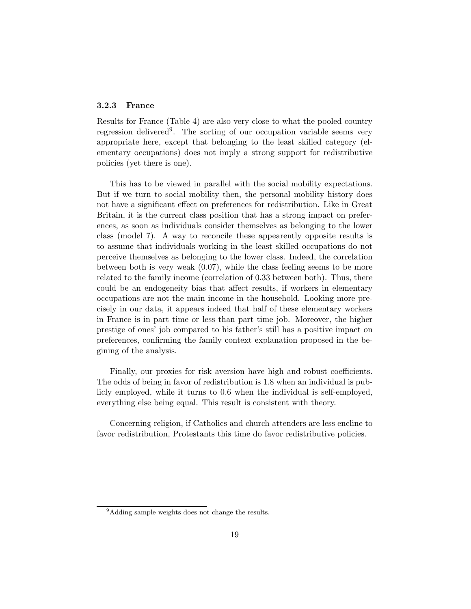### 3.2.3 France

Results for France (Table 4) are also very close to what the pooled country regression delivered<sup>9</sup>. The sorting of our occupation variable seems very appropriate here, except that belonging to the least skilled category (elementary occupations) does not imply a strong support for redistributive policies (yet there is one).

This has to be viewed in parallel with the social mobility expectations. But if we turn to social mobility then, the personal mobility history does not have a significant effect on preferences for redistribution. Like in Great Britain, it is the current class position that has a strong impact on preferences, as soon as individuals consider themselves as belonging to the lower class (model 7). A way to reconcile these appearently opposite results is to assume that individuals working in the least skilled occupations do not perceive themselves as belonging to the lower class. Indeed, the correlation between both is very weak (0.07), while the class feeling seems to be more related to the family income (correlation of 0.33 between both). Thus, there could be an endogeneity bias that affect results, if workers in elementary occupations are not the main income in the household. Looking more precisely in our data, it appears indeed that half of these elementary workers in France is in part time or less than part time job. Moreover, the higher prestige of ones' job compared to his father's still has a positive impact on preferences, confirming the family context explanation proposed in the begining of the analysis.

Finally, our proxies for risk aversion have high and robust coefficients. The odds of being in favor of redistribution is 1.8 when an individual is publicly employed, while it turns to 0.6 when the individual is self-employed, everything else being equal. This result is consistent with theory.

Concerning religion, if Catholics and church attenders are less encline to favor redistribution, Protestants this time do favor redistributive policies.

<sup>&</sup>lt;sup>9</sup>Adding sample weights does not change the results.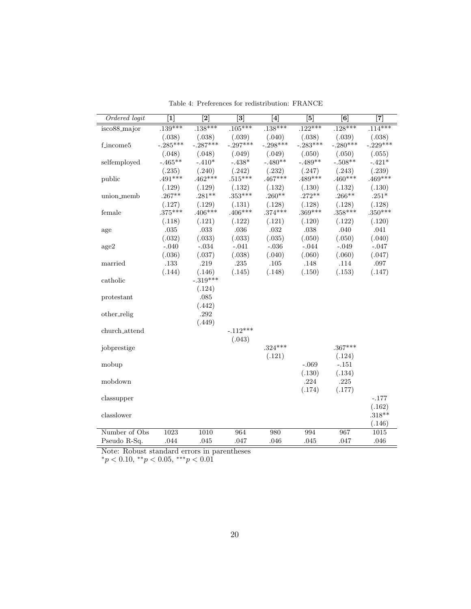| Ordered logit | $\overline{1}$ | $\overline{2}$       | $\overline{3}$ | $\overline{4}$ | $\overline{5}$ | $\overline{6}$ | $\overline{7}$ |
|---------------|----------------|----------------------|----------------|----------------|----------------|----------------|----------------|
| isco88_major  | $.139***$      | $.138***$            | $.105***$      | $.138***$      | $.122***$      | $.128***$      | $.114***$      |
|               | (.038)         | (.038)               | (.039)         | (.040)         | (.038)         | (.039)         | (.038)         |
| f_income5     | $-.285***$     | $-.287***$           | $-.297***$     | $-.298***$     | $-.283***$     | $-.280***$     | $-.229***$     |
|               | (.048)         | (.048)               | (.049)         | (.049)         | (.050)         | (.050)         | (.055)         |
| selfemployed  | $-.465**$      | $-.410*$             | $-.438*$       | $-.480**$      | $-.489**$      | $-.508**$      | $-.421*$       |
|               | (.235)         | (.240)               | (.242)         | (.232)         | (.247)         | (.243)         | (.239)         |
| public        | $.491***$      | $.462***$            | $.515***$      | $.467***$      | $.489***$      | $.460***$      | $.469***$      |
|               | (.129)         | (.129)               | (.132)         | (.132)         | (.130)         | (.132)         | (.130)         |
| union_memb    | $.267**$       | $.281**$             | $.353***$      | $.260**$       | $.272**$       | $.266***$      | $.251*$        |
|               | (.127)         | (.129)               | (.131)         | (.128)         | (.128)         | (.128)         | (.128)         |
| female        | $.375***$      | $.406***$            | $.406***$      | $.374***$      | $.369***$      | $.358***$      | $.350***$      |
|               | (.118)         | (.121)               | (.122)         | (.121)         | (.120)         | (.122)         | (.120)         |
| age           | $.035\,$       | $.033\,$             | .036           | .032           | $.038\,$       | .040           | .041           |
|               | (.032)         | (.033)               | (.033)         | (.035)         | (.050)         | (.050)         | (.040)         |
| age2          | $-.040$        | $-.034$              | $-.041$        | $-.036$        | $-.044$        | $-.049$        | $-.047$        |
|               | (.036)         | (.037)               | (.038)         | (.040)         | (.060)         | (.060)         | (.047)         |
| married       | .133           | .219                 | $.235\,$       | .105           | .148           | .114           | .097           |
|               | (.144)         | (.146)<br>$-.319***$ | (.145)         | (.148)         | (.150)         | (.153)         | (.147)         |
| catholic      |                | (.124)               |                |                |                |                |                |
| protestant    |                | .085                 |                |                |                |                |                |
|               |                | (.442)               |                |                |                |                |                |
| other_relig   |                | .292                 |                |                |                |                |                |
|               |                | (.449)               |                |                |                |                |                |
| church_attend |                |                      | $-.112***$     |                |                |                |                |
|               |                |                      | (.043)         |                |                |                |                |
| jobprestige   |                |                      |                | $.324***$      |                | $.367***$      |                |
|               |                |                      |                | (.121)         |                | (.124)         |                |
| mobup         |                |                      |                |                | $-.069$        | $-.151$        |                |
|               |                |                      |                |                | (.130)         | (.134)         |                |
| mobdown       |                |                      |                |                | .224           | .225           |                |
|               |                |                      |                |                | (.174)         | (.177)         |                |
| classupper    |                |                      |                |                |                |                | $-.177$        |
|               |                |                      |                |                |                |                | (.162)         |
| classlower    |                |                      |                |                |                |                | $.318**$       |
|               |                |                      |                |                |                |                | (.146)         |
| Number of Obs | 1023           | 1010                 | 964            | 980            | 994            | 967            | 1015           |
| Pseudo R-Sq.  | .044           | .045                 | .047           | .046           | .045           | .047           | .046           |

Table 4: Preferences for redistribution: FRANCE

Note: Robust standard errors in parentheses

 $*_p$  < 0.10,  $*_p$  < 0.05,  $**_p$  < 0.01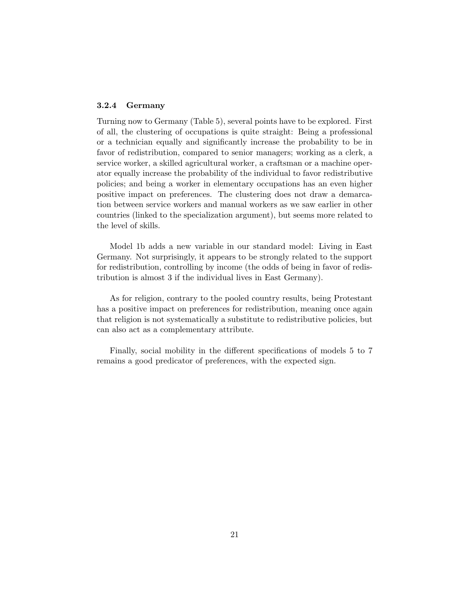### 3.2.4 Germany

Turning now to Germany (Table 5), several points have to be explored. First of all, the clustering of occupations is quite straight: Being a professional or a technician equally and significantly increase the probability to be in favor of redistribution, compared to senior managers; working as a clerk, a service worker, a skilled agricultural worker, a craftsman or a machine operator equally increase the probability of the individual to favor redistributive policies; and being a worker in elementary occupations has an even higher positive impact on preferences. The clustering does not draw a demarcation between service workers and manual workers as we saw earlier in other countries (linked to the specialization argument), but seems more related to the level of skills.

Model 1b adds a new variable in our standard model: Living in East Germany. Not surprisingly, it appears to be strongly related to the support for redistribution, controlling by income (the odds of being in favor of redistribution is almost 3 if the individual lives in East Germany).

As for religion, contrary to the pooled country results, being Protestant has a positive impact on preferences for redistribution, meaning once again that religion is not systematically a substitute to redistributive policies, but can also act as a complementary attribute.

Finally, social mobility in the different specifications of models 5 to 7 remains a good predicator of preferences, with the expected sign.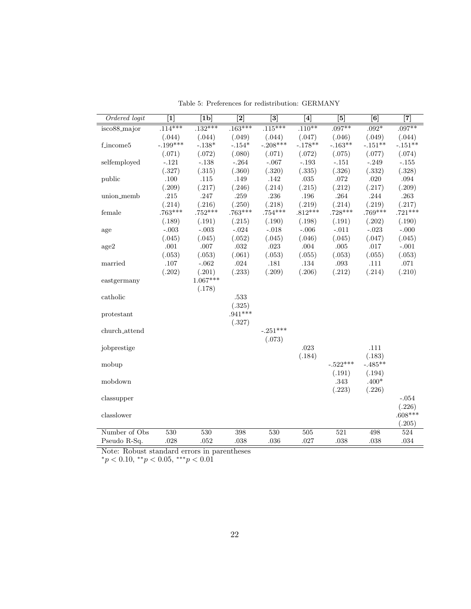| Ordered logit             | $\overline{1}$ | $\overline{1}$   | $\overline{[2]}$ | $\overline{3}$ | $\overline{[4]}$ | $\overline{[5]}$ | $\overline{6}$      | $\overline{7}$ |
|---------------------------|----------------|------------------|------------------|----------------|------------------|------------------|---------------------|----------------|
| $isco88$ <sub>major</sub> | $.114***$      | $.132***$        | $.163***$        | $.115***$      | $.110**$         | $.097**$         | $.092*$             | $.097**$       |
|                           | (.044)         | (.044)           | (.049)           | (.044)         | (.047)           | (.046)           | (.049)              | (.044)         |
| f_income5                 | $-.199***$     | $-.138*$         | $-.154*$         | $-.208***$     | $-.178**$        | $-.163**$        | $-.151**$           | $-.151**$      |
|                           | (.071)         | (.072)           | (.080)           | (.071)         | (.072)           | (.075)           | (.077)              | (.074)         |
| selfemployed              | $-.121$        | $-.138$          | $-.264$          | $-.067$        | $-.193$          | $-.151$          | $-.249$             | $-.155$        |
|                           | (.327)         | (.315)           | (.360)           | (.320)         | (.335)           | (.326)           | (.332)              | (.328)         |
| public                    | .100           | .115             | .149             | .142           | $.035\,$         | .072             | .020                | .094           |
|                           | (.209)         | (.217)           | (.246)           | (.214)         | (.215)           | (.212)           | (.217)              | (.209)         |
| union_memb                | $.215\,$       | .247             | .259             | .236           | .196             | .264             | .244                | .263           |
|                           | (.214)         | (.216)           | (.250)           | (.218)         | (.219)           | (.214)           | (.219)              | (.217)         |
| female                    | $.763***$      | $.752***$        | $.763***$        | $.754***$      | $.812***$        | $.728***$        | $.769***$           | $.721***$      |
|                           | (.189)         | (.191)           | (.215)           | (.190)         | (.198)           | (.191)           | (.202)              | (.190)         |
| age                       | $-.003$        | $-.003$          | $-.024$          | $-.018$        | $-.006$          | $-.011$          | $-.023$             | $-.000$        |
|                           | (.045)         | (.045)           | (.052)           | (.045)         | (.046)           | (.045)           | (.047)              | (.045)         |
| age2                      | $.001\,$       | $.007\,$         | $.032\,$         | $.023\,$       | $.004\,$         | $.005\,$         | $.017\,$            | $-.001$        |
|                           | (.053)         | (.053)           | (.061)           | (.053)         | (.055)           | (.053)           | (.055)              | (.053)         |
| married                   | .107           | $-.062$          | $.024\,$         | .181           | .134             | .093             | .111                | .071           |
|                           | (.202)         | (.201)           | (.233)           | (.209)         | (.206)           | (.212)           | (.214)              | (.210)         |
| eastgermany               |                | $1.067***$       |                  |                |                  |                  |                     |                |
|                           |                | (.178)           |                  |                |                  |                  |                     |                |
| catholic                  |                |                  | $.533\,$         |                |                  |                  |                     |                |
|                           |                |                  | (.325)           |                |                  |                  |                     |                |
| protestant                |                |                  | $.941***$        |                |                  |                  |                     |                |
|                           |                |                  | (.327)           |                |                  |                  |                     |                |
| church_attend             |                |                  |                  | $-.251***$     |                  |                  |                     |                |
|                           |                |                  |                  | (.073)         |                  |                  |                     |                |
| jobprestige               |                |                  |                  |                | .023             |                  | .111                |                |
|                           |                |                  |                  |                | (.184)           | $-.522***$       | (.183)<br>$-.485**$ |                |
| mobup                     |                |                  |                  |                |                  | (.191)           | (.194)              |                |
| mobdown                   |                |                  |                  |                |                  | .343             | $.400*$             |                |
|                           |                |                  |                  |                |                  | (.223)           | (.226)              |                |
| classupper                |                |                  |                  |                |                  |                  |                     | $-.054$        |
|                           |                |                  |                  |                |                  |                  |                     | (.226)         |
| classlower                |                |                  |                  |                |                  |                  |                     | $.608***$      |
|                           |                |                  |                  |                |                  |                  |                     | (.205)         |
| Number of Obs             | 530            | $\overline{530}$ | 398              | 530            | 505              | 521              | 498                 | 524            |
| Pseudo R-Sq.              | .028           | .052             | .038             | .036           | .027             | .038             | .038                | .034           |

Table 5: Preferences for redistribution: GERMANY

Note: Robust standard errors in parentheses

 $*_p$  < 0.10,  $*_p$  < 0.05,  $**_p$  < 0.01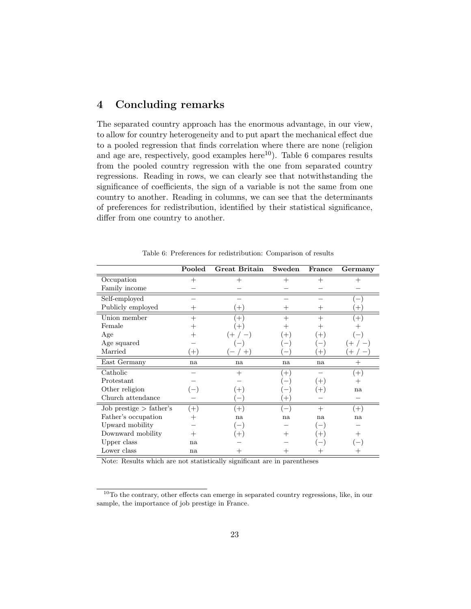# 4 Concluding remarks

The separated country approach has the enormous advantage, in our view, to allow for country heterogeneity and to put apart the mechanical effect due to a pooled regression that finds correlation where there are none (religion and age are, respectively, good examples here<sup>10</sup>). Table 6 compares results from the pooled country regression with the one from separated country regressions. Reading in rows, we can clearly see that notwithstanding the significance of coefficients, the sign of a variable is not the same from one country to another. Reading in columns, we can see that the determinants of preferences for redistribution, identified by their statistical significance, differ from one country to another.

|                           | Pooled | <b>Great Britain</b> | Sweden                   | France | Germany            |
|---------------------------|--------|----------------------|--------------------------|--------|--------------------|
| Occupation                | $^{+}$ | $^{+}$               | $^{+}$                   | $^{+}$ | $\hspace{0.1mm} +$ |
| Family income             |        |                      |                          |        |                    |
| Self-employed             |        |                      |                          |        |                    |
| Publicly employed         | $^+$   | $(+)$                | $^+$                     |        | $^+$               |
| Union member              | $+$    | $^{(+)}$             | $^{+}$                   | $^{+}$ | $^{+}$             |
| Female                    |        | $^{+}$               | ┿                        |        |                    |
| Age                       |        | $($ $+$              | $^{+}$                   | $(+)$  |                    |
| Age squared               |        |                      |                          |        |                    |
| Married                   | $(+)$  | $^{+}$               |                          | $+$    |                    |
| East Germany              | na     | na                   | na                       | na     | $\hspace{0.1mm} +$ |
| Catholic                  |        | $^{+}$               | $^{(+)}$                 |        | $(+)$              |
| Protestant                |        |                      |                          | $(+)$  | $^+$               |
| Other religion            |        | $\pm$                |                          |        | na                 |
| Church attendance         |        |                      | $\pm$ .                  |        |                    |
| Job prestige $>$ father's | $(+)$  | $(+)$                | $\overline{\phantom{0}}$ | $+$    | $^{(+)}$           |
| Father's occupation       | $^+$   | na                   | na                       | na     | na                 |
| Upward mobility           |        |                      |                          |        |                    |
| Downward mobility<br>$^+$ |        | $^{+}$               | $^+$                     |        |                    |
| Upper class               | na     |                      |                          |        |                    |
| Lower class               | na     |                      | $^+$                     |        |                    |

Table 6: Preferences for redistribution: Comparison of results

Note: Results which are not statistically significant are in parentheses

 $^{10}\mathrm{To}$  the contrary, other effects can emerge in separated country regressions, like, in our sample, the importance of job prestige in France.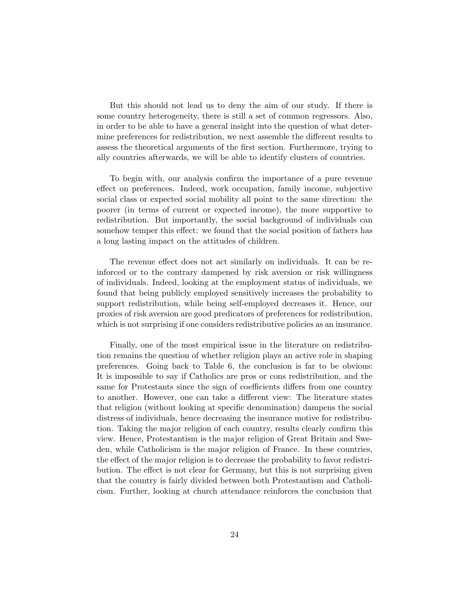But this should not lead us to deny the aim of our study. If there is some country heterogeneity, there is still a set of common regressors. Also, in order to be able to have a general insight into the question of what determine preferences for redistribution, we next assemble the different results to assess the theoretical arguments of the first section. Furthermore, trying to ally countries afterwards, we will be able to identify clusters of countries.

To begin with, our analysis confirm the importance of a pure revenue effect on preferences. Indeed, work occupation, family income, subjective social class or expected social mobility all point to the same direction: the poorer (in terms of current or expected income), the more supportive to redistribution. But importantly, the social background of individuals can somehow temper this effect: we found that the social position of fathers has a long lasting impact on the attitudes of children.

The revenue effect does not act similarly on individuals. It can be reinforced or to the contrary dampened by risk aversion or risk willingness of individuals. Indeed, looking at the employment status of individuals, we found that being publicly employed sensitively increases the probability to support redistribution, while being self-employed decreases it. Hence, our proxies of risk aversion are good predicators of preferences for redistribution, which is not surprising if one considers redistributive policies as an insurance.

Finally, one of the most empirical issue in the literature on redistribution remains the question of whether religion plays an active role in shaping preferences. Going back to Table 6, the conclusion is far to be obvious: It is impossible to say if Catholics are pros or cons redistribution, and the same for Protestants since the sign of coefficients differs from one country to another. However, one can take a different view: The literature states that religion (without looking at specific denomination) dampens the social distress of individuals, hence decreasing the insurance motive for redistribution. Taking the major religion of each country, results clearly confirm this view. Hence, Protestantism is the major religion of Great Britain and Sweden, while Catholicism is the major religion of France. In these countries, the effect of the major religion is to decrease the probability to favor redistribution. The effect is not clear for Germany, but this is not surprising given that the country is fairly divided between both Protestantism and Catholicism. Further, looking at church attendance reinforces the conclusion that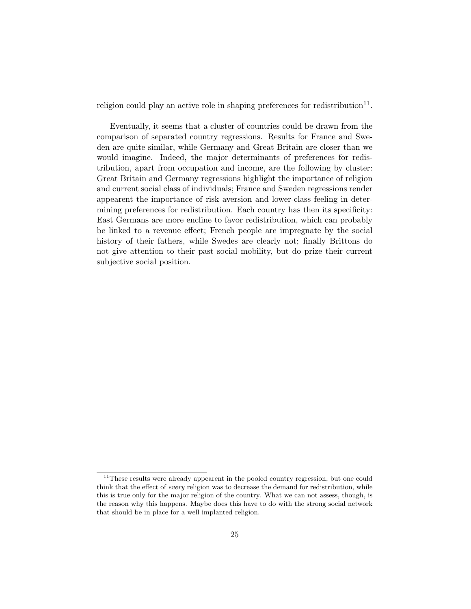religion could play an active role in shaping preferences for redistribution<sup>11</sup>.

Eventually, it seems that a cluster of countries could be drawn from the comparison of separated country regressions. Results for France and Sweden are quite similar, while Germany and Great Britain are closer than we would imagine. Indeed, the major determinants of preferences for redistribution, apart from occupation and income, are the following by cluster: Great Britain and Germany regressions highlight the importance of religion and current social class of individuals; France and Sweden regressions render appearent the importance of risk aversion and lower-class feeling in determining preferences for redistribution. Each country has then its specificity: East Germans are more encline to favor redistribution, which can probably be linked to a revenue effect; French people are impregnate by the social history of their fathers, while Swedes are clearly not; finally Brittons do not give attention to their past social mobility, but do prize their current subjective social position.

<sup>&</sup>lt;sup>11</sup>These results were already appearent in the pooled country regression, but one could think that the effect of every religion was to decrease the demand for redistribution, while this is true only for the major religion of the country. What we can not assess, though, is the reason why this happens. Maybe does this have to do with the strong social network that should be in place for a well implanted religion.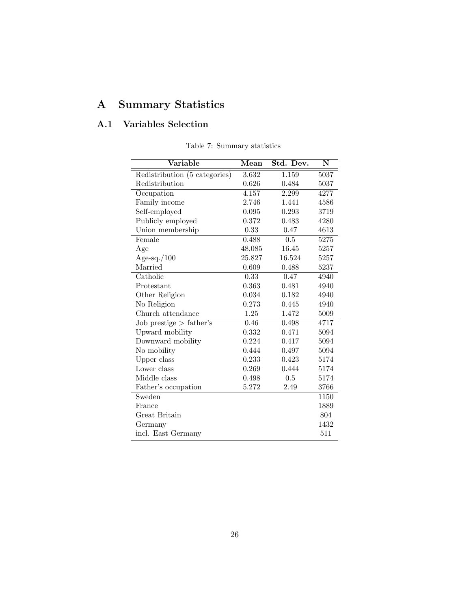# A Summary Statistics

# A.1 Variables Selection

| Variable                      | Mean   | Std. Dev. | N                 |
|-------------------------------|--------|-----------|-------------------|
| Redistribution (5 categories) | 3.632  | 1.159     | $\overline{50}37$ |
| Redistribution                | 0.626  | 0.484     | 5037              |
| Occupation                    | 4.157  | 2.299     | 4277              |
| Family income                 | 2.746  | 1.441     | 4586              |
| Self-employed                 | 0.095  | 0.293     | 3719              |
| Publicly employed             | 0.372  | 0.483     | 4280              |
| Union membership              | 0.33   | 0.47      | 4613              |
| Female                        | 0.488  | 0.5       | 5275              |
| Age                           | 48.085 | 16.45     | 5257              |
| Age-sq./ $100$                | 25.827 | 16.524    | 5257              |
| Married                       | 0.609  | 0.488     | 5237              |
| Catholic                      | 0.33   | 0.47      | 4940              |
| Protestant                    | 0.363  | 0.481     | 4940              |
| Other Religion                | 0.034  | 0.182     | 4940              |
| No Religion                   | 0.273  | 0.445     | 4940              |
| Church attendance             | 1.25   | 1.472     | 5009              |
| $Job$ prestige $\gt$ father's | 0.46   | 0.498     | 4717              |
| Upward mobility               | 0.332  | 0.471     | 5094              |
| Downward mobility             | 0.224  | 0.417     | 5094              |
| No mobility                   | 0.444  | 0.497     | 5094              |
| Upper class                   | 0.233  | 0.423     | 5174              |
| Lower class                   | 0.269  | 0.444     | 5174              |
| Middle class                  | 0.498  | 0.5       | 5174              |
| Father's occupation           | 5.272  | 2.49      | 3766              |
| Sweden                        |        |           | 1150              |
| France                        |        |           | 1889              |
| Great Britain                 |        |           | 804               |
| Germany                       |        |           | 1432              |
| incl. East Germany            |        |           | 511               |

Table 7: Summary statistics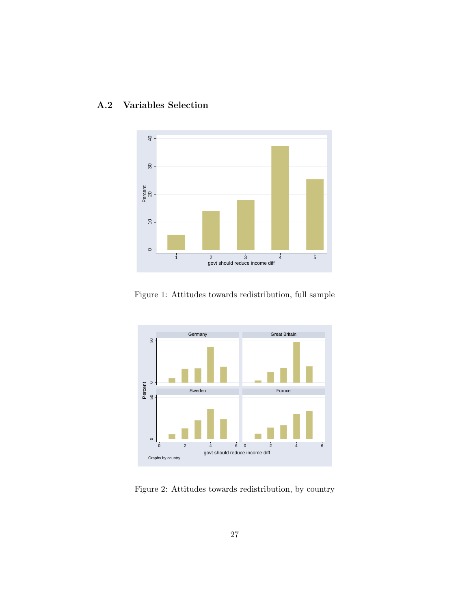



Figure 1: Attitudes towards redistribution, full sample



Figure 2: Attitudes towards redistribution, by country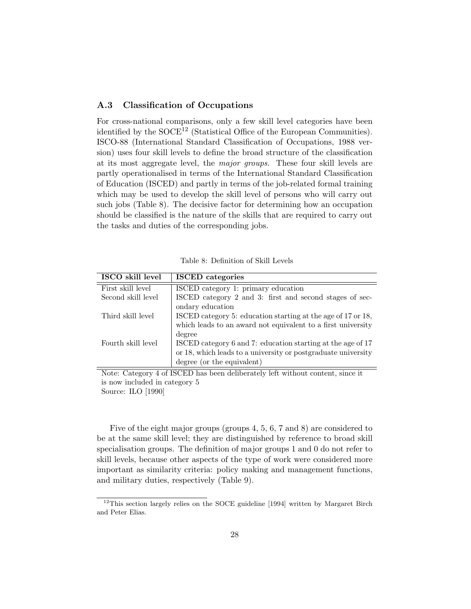#### A.3 Classification of Occupations

For cross-national comparisons, only a few skill level categories have been identified by the  $\text{SOCE}^{12}$  (Statistical Office of the European Communities). ISCO-88 (International Standard Classification of Occupations, 1988 version) uses four skill levels to define the broad structure of the classification at its most aggregate level, the major groups. These four skill levels are partly operationalised in terms of the International Standard Classification of Education (ISCED) and partly in terms of the job-related formal training which may be used to develop the skill level of persons who will carry out such jobs (Table 8). The decisive factor for determining how an occupation should be classified is the nature of the skills that are required to carry out the tasks and duties of the corresponding jobs.

| Table 8: Definition of Skill Levels |  |  |
|-------------------------------------|--|--|
|                                     |  |  |

| ISCO skill level   | <b>ISCED</b> categories                                       |
|--------------------|---------------------------------------------------------------|
| First skill level  | ISCED category 1: primary education                           |
| Second skill level | ISCED category 2 and 3: first and second stages of sec-       |
|                    | ondary education                                              |
| Third skill level  | ISCED category 5: education starting at the age of 17 or 18,  |
|                    | which leads to an award not equivalent to a first university  |
|                    | degree                                                        |
| Fourth skill level | ISCED category 6 and 7: education starting at the age of 17   |
|                    | or 18, which leads to a university or postgraduate university |
|                    | degree (or the equivalent)                                    |

Note: Category 4 of ISCED has been deliberately left without content, since it is now included in category 5 Source: ILO [1990]

Five of the eight major groups (groups 4, 5, 6, 7 and 8) are considered to be at the same skill level; they are distinguished by reference to broad skill specialisation groups. The definition of major groups 1 and 0 do not refer to skill levels, because other aspects of the type of work were considered more important as similarity criteria: policy making and management functions, and military duties, respectively (Table 9).

<sup>&</sup>lt;sup>12</sup>This section largely relies on the SOCE guideline [1994] written by Margaret Birch and Peter Elias.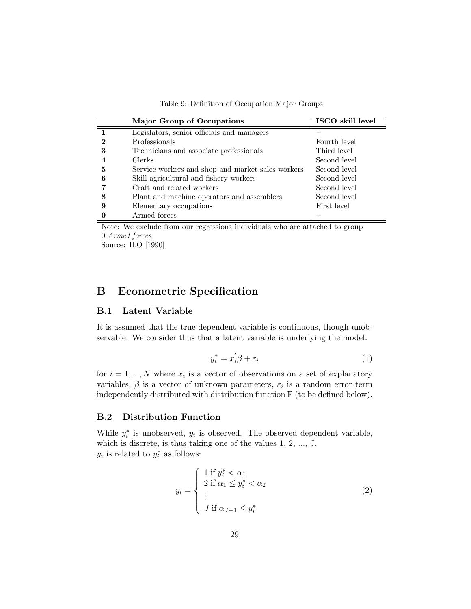Table 9: Definition of Occupation Major Groups

|   | <b>Major Group of Occupations</b>                 | ISCO skill level |
|---|---------------------------------------------------|------------------|
|   | Legislators, senior officials and managers        |                  |
|   | Professionals                                     | Fourth level     |
| 3 | Technicians and associate professionals           | Third level      |
|   | <b>Clerks</b>                                     | Second level     |
| 5 | Service workers and shop and market sales workers | Second level     |
| 6 | Skill agricultural and fishery workers            | Second level     |
|   | Craft and related workers                         | Second level     |
|   | Plant and machine operators and assemblers        | Second level     |
|   | Elementary occupations                            | First level      |
|   | Armed forces                                      |                  |

Note: We exclude from our regressions individuals who are attached to group 0 Armed forces

Source: ILO [1990]

# B Econometric Specification

### B.1 Latent Variable

It is assumed that the true dependent variable is continuous, though unobservable. We consider thus that a latent variable is underlying the model:

$$
y_i^* = x_i' \beta + \varepsilon_i \tag{1}
$$

for  $i = 1, ..., N$  where  $x_i$  is a vector of observations on a set of explanatory variables,  $\beta$  is a vector of unknown parameters,  $\varepsilon_i$  is a random error term independently distributed with distribution function F (to be defined below).

## B.2 Distribution Function

While  $y_i^*$  is unobserved,  $y_i$  is observed. The observed dependent variable, which is discrete, is thus taking one of the values 1, 2, ..., J.  $y_i$  is related to  $y_i^*$  as follows:

$$
y_i = \begin{cases} 1 \text{ if } y_i^* < \alpha_1 \\ 2 \text{ if } \alpha_1 \le y_i^* < \alpha_2 \\ \vdots \\ J \text{ if } \alpha_{J-1} \le y_i^* \end{cases} \tag{2}
$$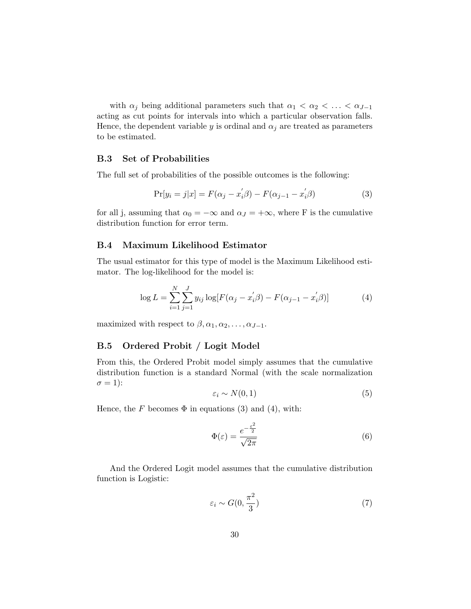with  $\alpha_j$  being additional parameters such that  $\alpha_1 < \alpha_2 < \ldots < \alpha_{J-1}$ acting as cut points for intervals into which a particular observation falls. Hence, the dependent variable y is ordinal and  $\alpha_i$  are treated as parameters to be estimated.

### B.3 Set of Probabilities

The full set of probabilities of the possible outcomes is the following:

$$
Pr[y_i = j|x] = F(\alpha_j - x_i'\beta) - F(\alpha_{j-1} - x_i'\beta)
$$
\n(3)

for all j, assuming that  $\alpha_0 = -\infty$  and  $\alpha_J = +\infty$ , where F is the cumulative distribution function for error term.

### B.4 Maximum Likelihood Estimator

The usual estimator for this type of model is the Maximum Likelihood estimator. The log-likelihood for the model is:

$$
\log L = \sum_{i=1}^{N} \sum_{j=1}^{J} y_{ij} \log [F(\alpha_j - x_i/\beta) - F(\alpha_{j-1} - x_i/\beta)] \tag{4}
$$

maximized with respect to  $\beta, \alpha_1, \alpha_2, \ldots, \alpha_{J-1}$ .

### B.5 Ordered Probit / Logit Model

From this, the Ordered Probit model simply assumes that the cumulative distribution function is a standard Normal (with the scale normalization  $\sigma = 1$ :

$$
\varepsilon_i \sim N(0, 1) \tag{5}
$$

Hence, the F becomes  $\Phi$  in equations (3) and (4), with:

$$
\Phi(\varepsilon) = \frac{e^{-\frac{\varepsilon^2}{2}}}{\sqrt{2\pi}}\tag{6}
$$

And the Ordered Logit model assumes that the cumulative distribution function is Logistic:

$$
\varepsilon_i \sim G(0, \frac{\pi^2}{3})\tag{7}
$$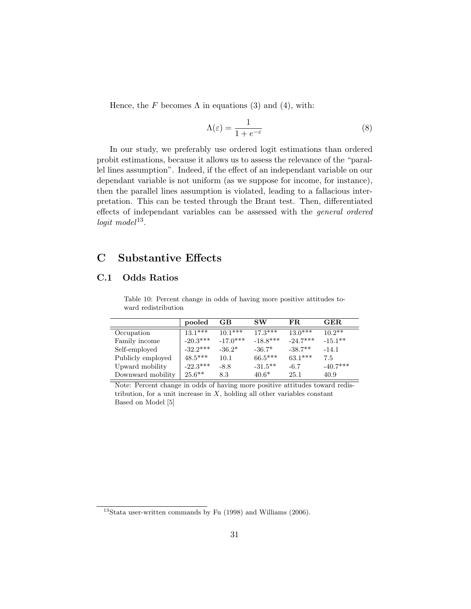Hence, the F becomes  $\Lambda$  in equations (3) and (4), with:

$$
\Lambda(\varepsilon) = \frac{1}{1 + e^{-\varepsilon}}\tag{8}
$$

In our study, we preferably use ordered logit estimations than ordered probit estimations, because it allows us to assess the relevance of the "parallel lines assumption". Indeed, if the effect of an independant variable on our dependant variable is not uniform (as we suppose for income, for instance), then the parallel lines assumption is violated, leading to a fallacious interpretation. This can be tested through the Brant test. Then, differentiated effects of independant variables can be assessed with the general ordered  $logit \ model$ <sup>13</sup>.

# C Substantive Effects

## C.1 Odds Ratios

|                   | pooled     | GB         | SW         | FR.        | GER.       |
|-------------------|------------|------------|------------|------------|------------|
| Occupation        | $13.1***$  | $10.1***$  | $17.3***$  | $13.0***$  | $10.2**$   |
| Family income     | $-20.3***$ | $-17.0***$ | $-18.8***$ | $-24.7***$ | $-15.1***$ |
| Self-employed     | $-32.2***$ | $-36.2*$   | $-36.7*$   | $-38.7**$  | $-14.1$    |
| Publicly employed | $48.5***$  | 10.1       | $66.5***$  | $63.1***$  | 7.5        |
| Upward mobility   | $-22.3***$ | $-8.8$     | $-31.5**$  | $-6.7$     | $-40.7***$ |
| Downward mobility | $25.6***$  | 8.3        | $40.6*$    | 25.1       | 40.9       |

Table 10: Percent change in odds of having more positive attitudes toward redistribution

Note: Percent change in odds of having more positive attitudes toward redistribution, for a unit increase in  $X$ , holding all other variables constant Based on Model [5]

 $13$ Stata user-written commands by Fu (1998) and Williams (2006).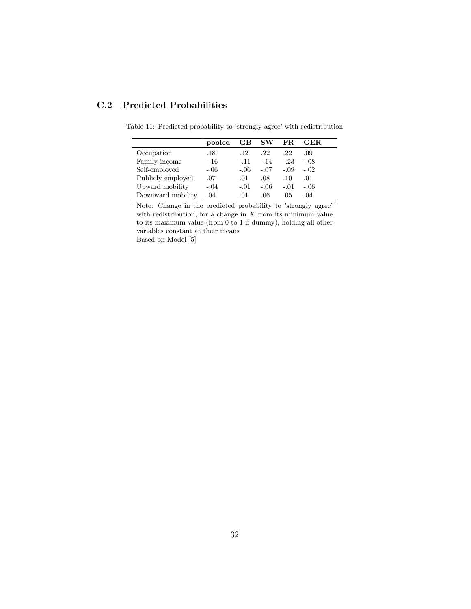# C.2 Predicted Probabilities

|                   | pooled | $\bf GB$ | <b>SW</b> | FR     | $\bf GER$ |
|-------------------|--------|----------|-----------|--------|-----------|
| Occupation        | .18    | .12      | .22       | .22    | .09       |
| Family income     | $-.16$ | $-.11$   | $-.14$    | $-.23$ | $-.08$    |
| Self-employed     | $-.06$ | $-.06$   | $-.07$    | $-.09$ | $-.02$    |
| Publicly employed | .07    | .01      | .08       | .10    | .01       |
| Upward mobility   | $-.04$ | $-.01$   | $-.06$    | $-.01$ | $-.06$    |
| Downward mobility | .04    | .01      | .06       | .05    | .04       |

Table 11: Predicted probability to 'strongly agree' with redistribution

Note: Change in the predicted probability to 'strongly agree' with redistribution, for a change in  $X$  from its minimum value to its maximum value (from 0 to 1 if dummy), holding all other variables constant at their means Based on Model [5]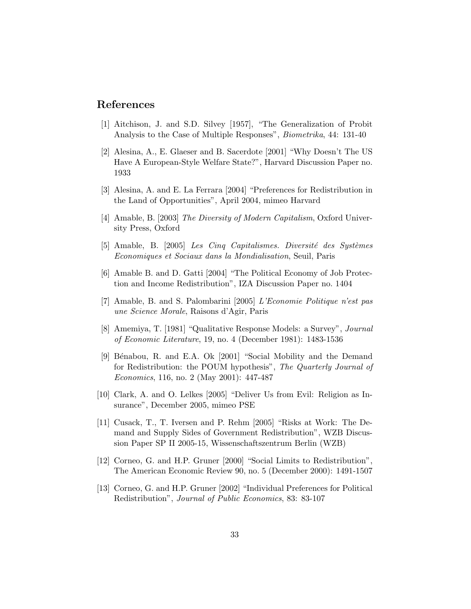## References

- [1] Aitchison, J. and S.D. Silvey [1957], "The Generalization of Probit Analysis to the Case of Multiple Responses", Biometrika, 44: 131-40
- [2] Alesina, A., E. Glaeser and B. Sacerdote [2001] "Why Doesn't The US Have A European-Style Welfare State?", Harvard Discussion Paper no. 1933
- [3] Alesina, A. and E. La Ferrara [2004] "Preferences for Redistribution in the Land of Opportunities", April 2004, mimeo Harvard
- [4] Amable, B. [2003] The Diversity of Modern Capitalism, Oxford University Press, Oxford
- $[5]$  Amable, B.  $[2005]$  Les Cinq Capitalismes. Diversité des Systèmes Economiques et Sociaux dans la Mondialisation, Seuil, Paris
- [6] Amable B. and D. Gatti [2004] "The Political Economy of Job Protection and Income Redistribution", IZA Discussion Paper no. 1404
- [7] Amable, B. and S. Palombarini [2005] L'Economie Politique n'est pas une Science Morale, Raisons d'Agir, Paris
- [8] Amemiya, T. [1981] "Qualitative Response Models: a Survey", Journal of Economic Literature, 19, no. 4 (December 1981): 1483-1536
- [9] Bénabou, R. and E.A. Ok [2001] "Social Mobility and the Demand for Redistribution: the POUM hypothesis", The Quarterly Journal of Economics, 116, no. 2 (May 2001): 447-487
- [10] Clark, A. and O. Lelkes [2005] "Deliver Us from Evil: Religion as Insurance", December 2005, mimeo PSE
- [11] Cusack, T., T. Iversen and P. Rehm [2005] "Risks at Work: The Demand and Supply Sides of Government Redistribution", WZB Discussion Paper SP II 2005-15, Wissenschaftszentrum Berlin (WZB)
- [12] Corneo, G. and H.P. Gruner [2000] "Social Limits to Redistribution", The American Economic Review 90, no. 5 (December 2000): 1491-1507
- [13] Corneo, G. and H.P. Gruner [2002] "Individual Preferences for Political Redistribution", Journal of Public Economics, 83: 83-107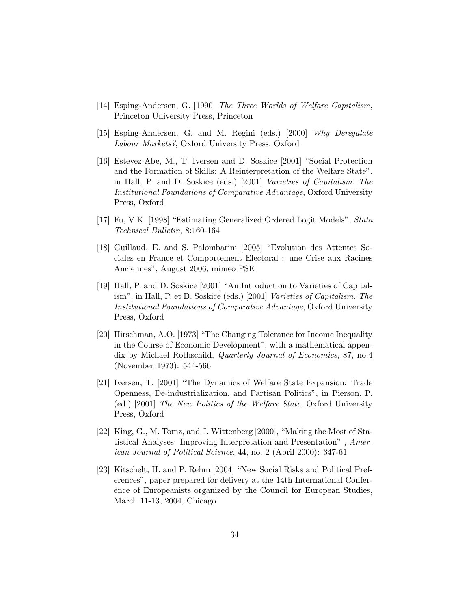- [14] Esping-Andersen, G. [1990] The Three Worlds of Welfare Capitalism, Princeton University Press, Princeton
- [15] Esping-Andersen, G. and M. Regini (eds.) [2000] Why Deregulate Labour Markets?, Oxford University Press, Oxford
- [16] Estevez-Abe, M., T. Iversen and D. Soskice [2001] "Social Protection and the Formation of Skills: A Reinterpretation of the Welfare State", in Hall, P. and D. Soskice (eds.) [2001] Varieties of Capitalism. The Institutional Foundations of Comparative Advantage, Oxford University Press, Oxford
- [17] Fu, V.K. [1998] "Estimating Generalized Ordered Logit Models", Stata Technical Bulletin, 8:160-164
- [18] Guillaud, E. and S. Palombarini [2005] "Evolution des Attentes Sociales en France et Comportement Electoral : une Crise aux Racines Anciennes", August 2006, mimeo PSE
- [19] Hall, P. and D. Soskice [2001] "An Introduction to Varieties of Capitalism", in Hall, P. et D. Soskice (eds.) [2001] Varieties of Capitalism. The Institutional Foundations of Comparative Advantage, Oxford University Press, Oxford
- [20] Hirschman, A.O. [1973] "The Changing Tolerance for Income Inequality in the Course of Economic Development", with a mathematical appendix by Michael Rothschild, Quarterly Journal of Economics, 87, no.4 (November 1973): 544-566
- [21] Iversen, T. [2001] "The Dynamics of Welfare State Expansion: Trade Openness, De-industrialization, and Partisan Politics", in Pierson, P. (ed.) [2001] The New Politics of the Welfare State, Oxford University Press, Oxford
- [22] King, G., M. Tomz, and J. Wittenberg [2000], "Making the Most of Statistical Analyses: Improving Interpretation and Presentation" , American Journal of Political Science, 44, no. 2 (April 2000): 347-61
- [23] Kitschelt, H. and P. Rehm [2004] "New Social Risks and Political Preferences", paper prepared for delivery at the 14th International Conference of Europeanists organized by the Council for European Studies, March 11-13, 2004, Chicago